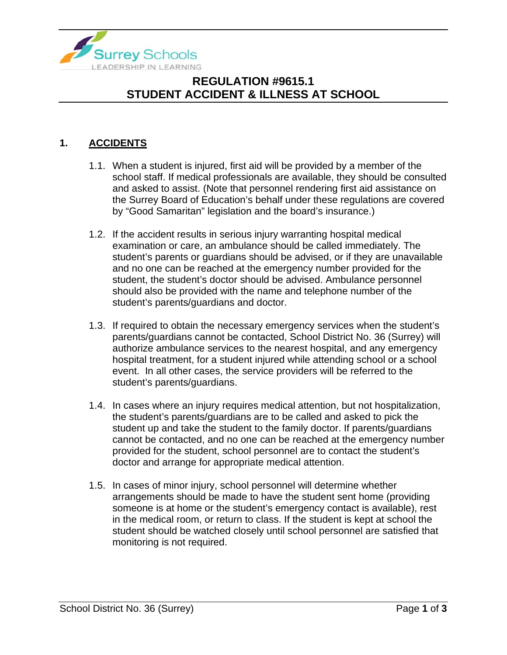

# **REGULATION #9615.1 STUDENT ACCIDENT & ILLNESS AT SCHOOL**

#### **1. ACCIDENTS**

- 1.1. When a student is injured, first aid will be provided by a member of the school staff. If medical professionals are available, they should be consulted and asked to assist. (Note that personnel rendering first aid assistance on the Surrey Board of Education's behalf under these regulations are covered by "Good Samaritan" legislation and the board's insurance.)
- 1.2. If the accident results in serious injury warranting hospital medical examination or care, an ambulance should be called immediately. The student's parents or guardians should be advised, or if they are unavailable and no one can be reached at the emergency number provided for the student, the student's doctor should be advised. Ambulance personnel should also be provided with the name and telephone number of the student's parents/guardians and doctor.
- 1.3. If required to obtain the necessary emergency services when the student's parents/guardians cannot be contacted, School District No. 36 (Surrey) will authorize ambulance services to the nearest hospital, and any emergency hospital treatment, for a student injured while attending school or a school event. In all other cases, the service providers will be referred to the student's parents/guardians.
- 1.4. In cases where an injury requires medical attention, but not hospitalization, the student's parents/guardians are to be called and asked to pick the student up and take the student to the family doctor. If parents/guardians cannot be contacted, and no one can be reached at the emergency number provided for the student, school personnel are to contact the student's doctor and arrange for appropriate medical attention.
- 1.5. In cases of minor injury, school personnel will determine whether arrangements should be made to have the student sent home (providing someone is at home or the student's emergency contact is available), rest in the medical room, or return to class. If the student is kept at school the student should be watched closely until school personnel are satisfied that monitoring is not required.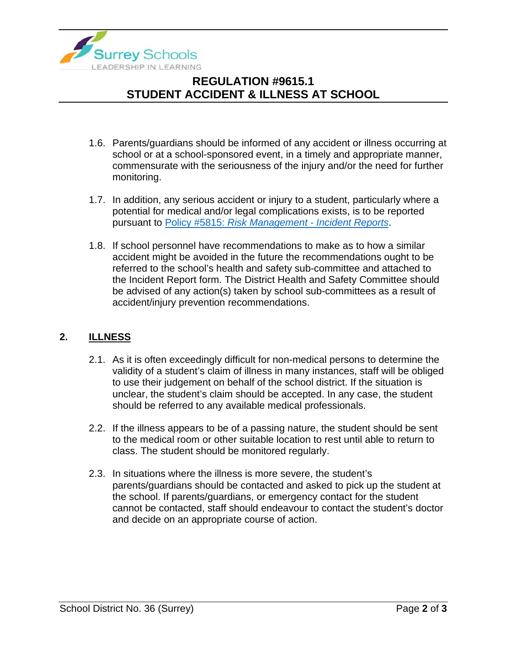

# **REGULATION #9615.1 STUDENT ACCIDENT & ILLNESS AT SCHOOL**

- 1.6. Parents/guardians should be informed of any accident or illness occurring at school or at a school-sponsored event, in a timely and appropriate manner, commensurate with the seriousness of the injury and/or the need for further monitoring.
- 1.7. In addition, any serious accident or injury to a student, particularly where a potential for medical and/or legal complications exists, is to be reported pursuant to Policy #5815: *[Risk Management -](https://www.surreyschools.ca/departments/SECT/PoliciesRegulations/section_5000/Documents/5815%20Policy.pdf) Incident Reports*.
- 1.8. If school personnel have recommendations to make as to how a similar accident might be avoided in the future the recommendations ought to be referred to the school's health and safety sub-committee and attached to the Incident Report form. The District Health and Safety Committee should be advised of any action(s) taken by school sub-committees as a result of accident/injury prevention recommendations.

#### **2. ILLNESS**

- 2.1. As it is often exceedingly difficult for non-medical persons to determine the validity of a student's claim of illness in many instances, staff will be obliged to use their judgement on behalf of the school district. If the situation is unclear, the student's claim should be accepted. In any case, the student should be referred to any available medical professionals.
- 2.2. If the illness appears to be of a passing nature, the student should be sent to the medical room or other suitable location to rest until able to return to class. The student should be monitored regularly.
- 2.3. In situations where the illness is more severe, the student's parents/guardians should be contacted and asked to pick up the student at the school. If parents/guardians, or emergency contact for the student cannot be contacted, staff should endeavour to contact the student's doctor and decide on an appropriate course of action.